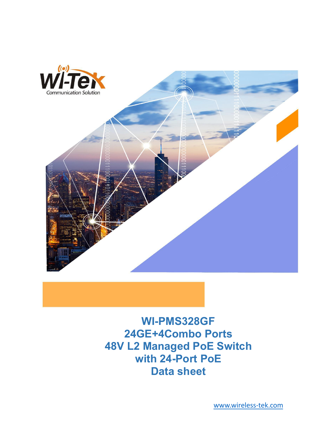

**WI-PMS328GF 24GE+4Combo Ports 48V L2 Managed PoE Switch with 24-Port PoE Data sheet**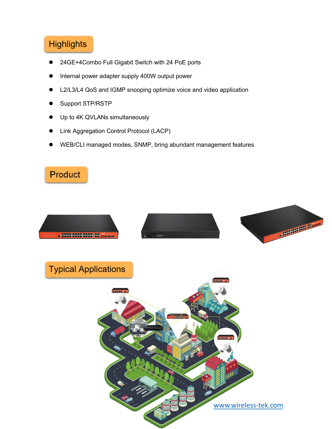# **Highlights**

- 24GE+4Combo Full Gigabit Switch with 24 PoE ports
- Internal power adapter supply 400W output power
- L2/L3/L4 QoS and IGMP snooping optimize voice and video application
- Support STP/RSTP
- Up to 4K QVLANs simultaneously
- Link Aggregation Control Protocol (LACP)
- WEB/CLI managed modes, SNMP, bring abundant management features



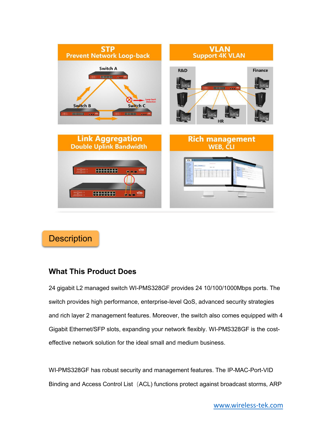

## **Description**

#### **What This Product Does**

24 gigabit L2 managed switch WI-PMS328GF provides 24 10/100/1000Mbps ports. The switch provides high performance, enterprise-level QoS, advanced security strategies and rich layer 2 management features. Moreover, the switch also comes equipped with 4 Gigabit Ethernet/SFP slots, expanding your network flexibly. WI-PMS328GF is the cost effective network solution for the ideal small and medium business.

WI-PMS328GF has robust security and management features. The IP-MAC-Port-VID Binding and Access Control List (ACL) functions protect against broadcast storms, ARP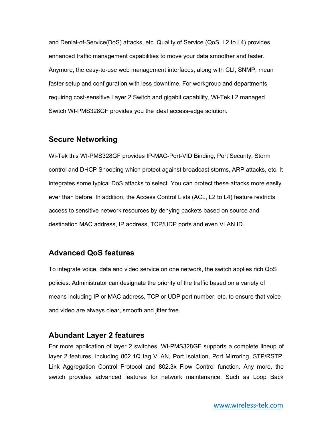and Denial-of-Service(DoS) attacks, etc. Quality of Service (QoS, L2 to L4) provides enhanced traffic management capabilities to move your data smoother and faster. Anymore, the easy-to-use web management interfaces, along with CLI, SNMP, mean faster setup and configuration with less downtime. For workgroup and departments requiring cost-sensitive Layer 2 Switch and gigabit capability, Wi-Tek L2 managed Switch WI-PMS328GF provides you the ideal access-edge solution.

#### **Secure Networking**

Wi-Tek this WI-PMS328GF provides IP-MAC-Port-VID Binding, Port Security, Storm control and DHCP Snooping which protect against broadcast storms, ARP attacks, etc. It integrates some typical DoS attacks to select.You can protect these attacks more easily ever than before. In addition, the Access Control Lists (ACL, L2 to L4) feature restricts access to sensitive network resources by denying packets based on source and destination MAC address, IP address, TCP/UDP ports and even VLAN ID.

### **Advanced QoS features**

To integrate voice, data and video service on one network, the switch applies rich QoS policies. Administrator can designate the priority of the traffic based on a variety of means including IP or MAC address, TCP or UDP port number, etc, to ensure that voice and video are always clear, smooth and jitter free.

#### **Abundant Layer 2 features**

For more application of layer 2 switches, WI-PMS328GF supports a complete lineup of layer 2 features, including 802.1Q tag VLAN, Port Isolation, Port Mirroring, STP/RSTP, Link Aggregation Control Protocol and 802.3x Flow Control function. Any more, the switch provides advanced features for network maintenance. Such as Loop Back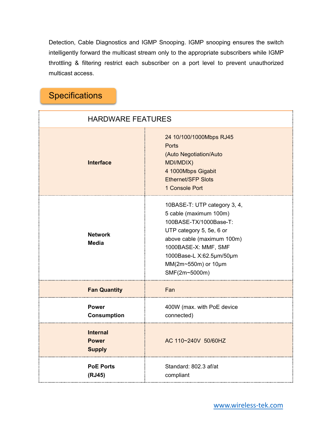Detection, Cable Diagnostics and IGMP Snooping. IGMP snooping ensures the switch intelligently forward the multicast stream only to the appropriate subscribers while IGMP throttling & filtering restrict each subscriber on a port level to prevent unauthorized multicast access.

## **Specifications**

| <b>HARDWARE FEATURES</b>                         |                                                                                                                                                                                                                                        |
|--------------------------------------------------|----------------------------------------------------------------------------------------------------------------------------------------------------------------------------------------------------------------------------------------|
| <b>Interface</b>                                 | 24 10/100/1000Mbps RJ45<br>Ports<br>(Auto Negotiation/Auto<br>MDI/MDIX)<br>4 1000Mbps Gigabit<br><b>Ethernet/SFP Slots</b><br>1 Console Port                                                                                           |
| <b>Network</b><br><b>Media</b>                   | 10BASE-T: UTP category 3, 4,<br>5 cable (maximum 100m)<br>100BASE-TX/1000Base-T:<br>UTP category 5, 5e, 6 or<br>above cable (maximum 100m)<br>1000BASE-X: MMF, SMF<br>1000Base-L X:62.5µm/50µm<br>MM(2m~550m) or 10µm<br>SMF(2m~5000m) |
| <b>Fan Quantity</b>                              | Fan                                                                                                                                                                                                                                    |
| <b>Power</b><br><b>Consumption</b>               | 400W (max. with PoE device<br>connected)                                                                                                                                                                                               |
| <b>Internal</b><br><b>Power</b><br><b>Supply</b> | AC 110~240V 50/60HZ                                                                                                                                                                                                                    |
| <b>PoE Ports</b><br>(RJ45)                       | Standard: 802.3 af/at<br>compliant                                                                                                                                                                                                     |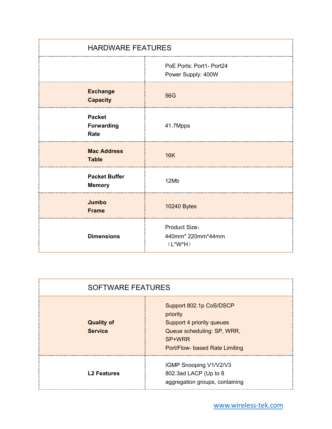| <b>HARDWARE FEATURES</b>                   |                                                   |
|--------------------------------------------|---------------------------------------------------|
|                                            | PoE Ports: Port1- Port24<br>Power Supply: 400W    |
| <b>Exchange</b><br><b>Capacity</b>         | 56G                                               |
| <b>Packet</b><br><b>Forwarding</b><br>Rate | 41.7Mpps                                          |
| <b>Mac Address</b><br><b>Table</b>         | <b>16K</b>                                        |
| <b>Packet Buffer</b><br><b>Memory</b>      | 12Mb                                              |
| Jumbo<br><b>Frame</b>                      | 10240 Bytes                                       |
| <b>Dimensions</b>                          | Product Size:<br>440mm* 220mm*44mm<br>$(L^*W^*H)$ |

| <b>SOFTWARE FEATURES</b>            |                                                                                                                                            |
|-------------------------------------|--------------------------------------------------------------------------------------------------------------------------------------------|
| <b>Quality of</b><br><b>Service</b> | Support 802.1p CoS/DSCP<br>priority<br>Support 4 priority queues<br>Queue scheduling: SP, WRR,<br>SP+WRR<br>Port/Flow- based Rate Limiting |
| <b>L2 Features</b>                  | IGMP Snooping V1/V2/V3<br>802.3ad LACP (Up to 8)<br>aggregation groups, containing                                                         |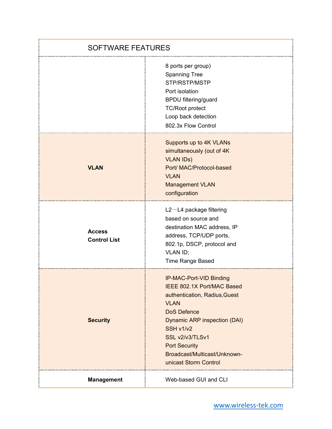| <b>SOFTWARE FEATURES</b>             |                                                                                                                                                                                                                                                                              |
|--------------------------------------|------------------------------------------------------------------------------------------------------------------------------------------------------------------------------------------------------------------------------------------------------------------------------|
|                                      | 8 ports per group)<br><b>Spanning Tree</b><br>STP/RSTP/MSTP<br>Port isolation<br><b>BPDU filtering/guard</b><br><b>TC/Root protect</b><br>Loop back detection<br>802.3x Flow Control                                                                                         |
| <b>VLAN</b>                          | Supports up to 4K VLANs<br>simultaneously (out of 4K<br><b>VLAN IDS)</b><br>Port/ MAC/Protocol-based<br><b>VLAN</b><br><b>Management VLAN</b><br>configuration                                                                                                               |
| <b>Access</b><br><b>Control List</b> | $L2 \sim L4$ package filtering<br>based on source and<br>destination MAC address, IP<br>address, TCP/UDP ports,<br>802.1p, DSCP, protocol and<br>VLAN ID;<br><b>Time Range Based</b>                                                                                         |
| <b>Security</b>                      | IP-MAC-Port-VID Binding<br>IEEE 802.1X Port/MAC Based<br>authentication, Radius, Guest<br><b>VLAN</b><br><b>DoS Defence</b><br>Dynamic ARP inspection (DAI)<br>SSH v1/v2<br>SSL v2/v3/TLSv1<br><b>Port Security</b><br>Broadcast/Multicast/Unknown-<br>unicast Storm Control |
| <b>Management</b>                    | Web-based GUI and CLI                                                                                                                                                                                                                                                        |